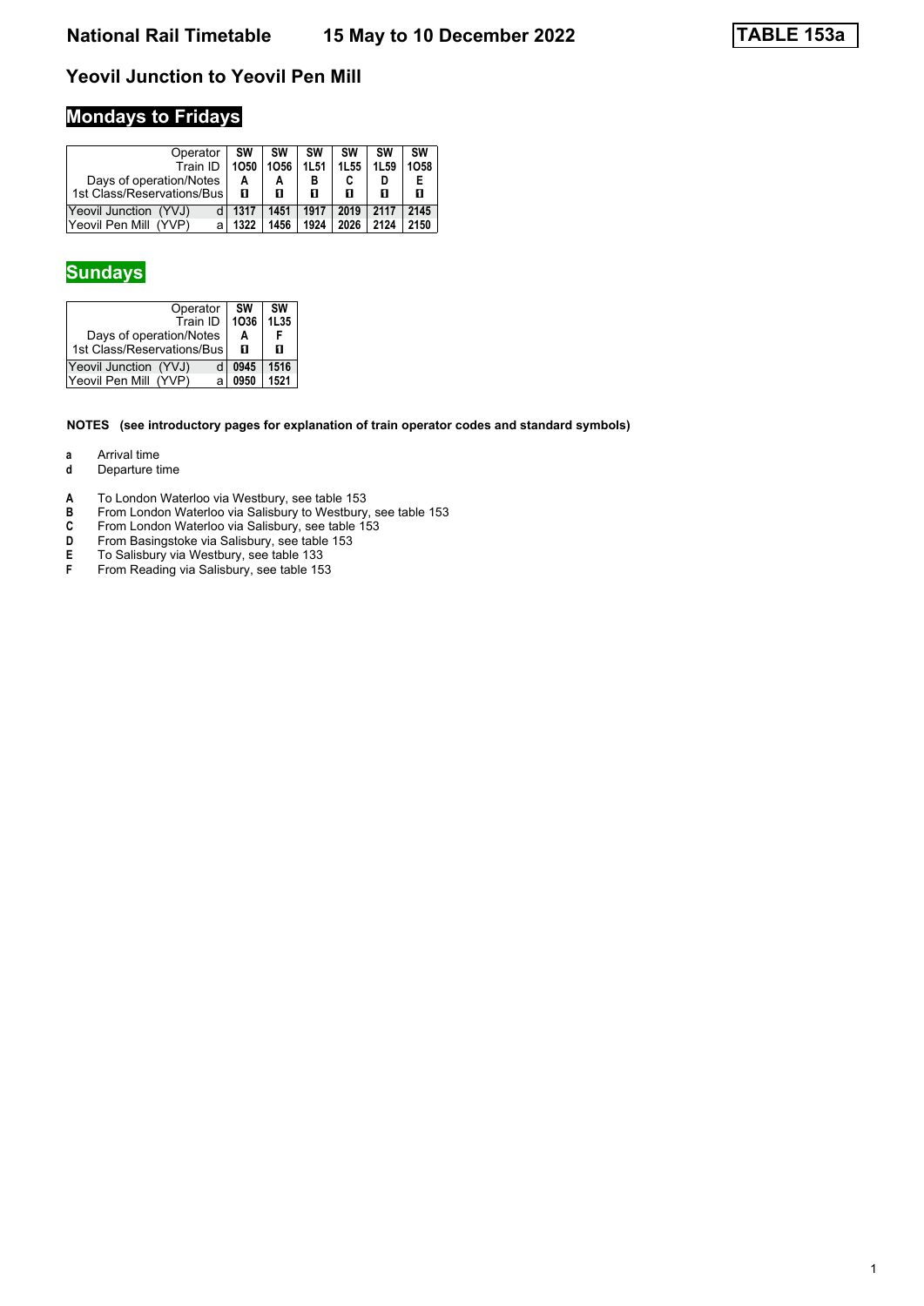### **Yeovil Junction to Yeovil Pen Mill**

# **Mondays to Fridays**

| Operator<br>Train ID<br>Days of operation/Notes<br>1st Class/Reservations/Bus | SW<br>1050<br>А<br>п | SW<br>1056<br>А<br>п | SW<br><b>1L51</b><br>в<br>п | <b>SW</b><br>1L55<br>п | SW<br>1L <sub>59</sub><br>п | <b>SW</b><br>1058<br>п |
|-------------------------------------------------------------------------------|----------------------|----------------------|-----------------------------|------------------------|-----------------------------|------------------------|
| Yeovil Junction (YVJ)                                                         | 1317                 | 1451                 | 1917                        | 2019                   | 2117                        | 2145                   |
| Yeovil Pen Mill<br>(YVP)<br>a                                                 | 1322                 | 1456                 | 1924                        | 2026                   | 2124                        | 2150                   |

#### **Sundays**

| Operator<br>Train ID                                  | SW<br>1036 | SW<br>1L35 |
|-------------------------------------------------------|------------|------------|
| Days of operation/Notes<br>1st Class/Reservations/Bus | А<br>п     | п          |
| Yeovil Junction (YVJ)                                 | 0945       | 1516       |
| Yeovil Pen Mill (YVP)                                 | 0950       | 1521       |

#### **NOTES (see introductory pages for explanation of train operator codes and standard symbols)**

- **a** Arrival time<br>**d** Departure t
- **d** Departure time
- **A** To London Waterloo via Westbury, see table 153<br>**B** From London Waterloo via Salisbury to Westbury
- **B** From London Waterloo via Salisbury to Westbury, see table 153<br> **C** From London Waterloo via Salisbury, see table 153<br> **D** From Basingstoke via Salisbury, see table 153
- From London Waterloo via Salisbury, see table 153
- **D** From Basingstoke via Salisbury, see table 153
- **E** To Salisbury via Westbury, see table 133 **From BasingStone Via Balisbury, see table 133<br><b>F** From Reading via Salisbury, see table 153
-